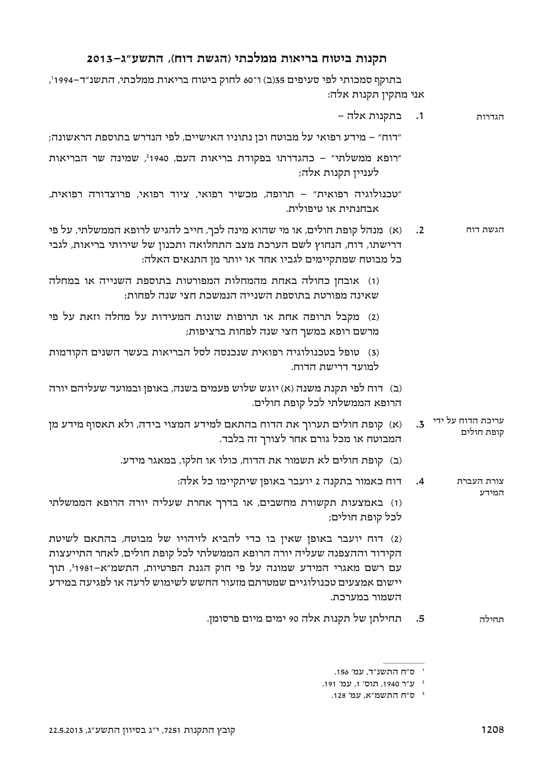# תקנות ביטוח בריאות ממלכתי (הגשת דוח), התשע"ג-2013

בתוקף סמכותי לפי סעיפים 35(ב) ו־60 לחוק ביטוח בריאות ממלכתי, התשנ"ד–1994', אני מתקין תקנות אלה:

|            | 1. בתקנות אלה –                                                                                                                                                                                                                                                                                                           |
|------------|---------------------------------------------------------------------------------------------------------------------------------------------------------------------------------------------------------------------------------------------------------------------------------------------------------------------------|
|            | ״דוח״ – מידע רפואי על מבוטח וכן נתוניו האישיים, לפי הנדרש בתוספת הראשונה;                                                                                                                                                                                                                                                 |
|            | "רופא ממשלתי" – כהגדרתו בפקודת בריאות העם, 1940 <sup>2</sup> , שמינה שר הבריאות<br>לעניין תקנות אלה;                                                                                                                                                                                                                      |
|            | ״טכנולוגיה רפואית״ – תרופה, מכשיר רפואי, ציוד רפואי, פרוצדורה רפואית,<br>אבחנתית או טיפולית.                                                                                                                                                                                                                              |
| $\cdot$ .2 | (א) מנהל קופת חולים, או מי שהוא מינה לכך, חייב להגיש לרופא הממשלתי, על פי<br>דרישתו, דוח, הנחוץ לשם הערכת מצב התחלואה ותכנון של שירותי בריאות, לגבי<br>כל מבוטח שמתקיימים לגביו אחד או יותר מן התנאים האלה:                                                                                                               |
|            | (1) אובחן כחולה באחת מהמחלות המפורטות בתוספת השנייה או במחלה<br>שאינה מפורטת בתוספת השנייה הנמשכת חצי שנה לפחות;                                                                                                                                                                                                          |
|            | (2) מקבל תרופה אחת או תרופות שונות המעידות על מחלה וזאת על פי<br>מרשם רופא במשך חצי שנה לפחות ברציפות;                                                                                                                                                                                                                    |
|            | (3) טופל בטכנולוגיה רפואית שנכנסה לסל הבריאות בעשר השנים הקודמות<br>למועד דרישת הדוח.                                                                                                                                                                                                                                     |
|            | (ב) דוח לפי תקנת משנה (א) יוגש שלוש פעמים בשנה, באופן ובמועד שעליהם יורה<br>הרופא הממשלתי לכל קופת חולים.                                                                                                                                                                                                                 |
| $\cdot$ .3 | (א) קופת חולים תערוך את הדוח בהתאם למידע המצוי בידה, ולא תאסוף מידע מן<br>המבוטח או מכל גורם אחר לצורך זה בלבד.                                                                                                                                                                                                           |
|            | (ב) קופת חולים לא תשמור את הדוח, כולו או חלקו, במאגר מידע.                                                                                                                                                                                                                                                                |
| $\cdot$ 4  | דוח כאמור בתקנה 2 יועבר באופן שיתקיימו כל אלה:                                                                                                                                                                                                                                                                            |
|            | (1) באמצעות תקשורת מחשבים, או בדרך אחרת שעליה יורה הרופא הממשלתי<br>לכל קופת חולים;                                                                                                                                                                                                                                       |
|            | (2) דוח יועבר באופן שאין בו כדי להביא לזיהויו של מבוטח, בהתאם לשיטת<br>הקידוד וההצפנה שעליה יורה הרופא הממשלתי לכל קופת חולים, לאחר התייעצות<br>עם רשם מאגרי המידע שמונה על פי חוק הגנת הפרטיות, התשמ"א-1981 <sup>3</sup> , תוך<br>יישום אמצעים טכנולוגיים שמטרתם מזעור החשש לשימוש לרעה או לפגיעה במידע<br>השמור במערכת. |
| .5         | תחילתן של תקנות אלה 90 ימים מיום פרסומן.                                                                                                                                                                                                                                                                                  |
|            |                                                                                                                                                                                                                                                                                                                           |

<sup>&</sup>lt;sup>י</sup> ס״ח התשנ״ר*, ע*מ׳ 156.

 $\,$  191 $^{\prime}$ ע"ר 1940, תוס׳ ו<br/>, ע"ר  $^{\prime}$ 

<sup>&</sup>lt;sup>3</sup> ס״ח התשמ״א, עמ׳ 128.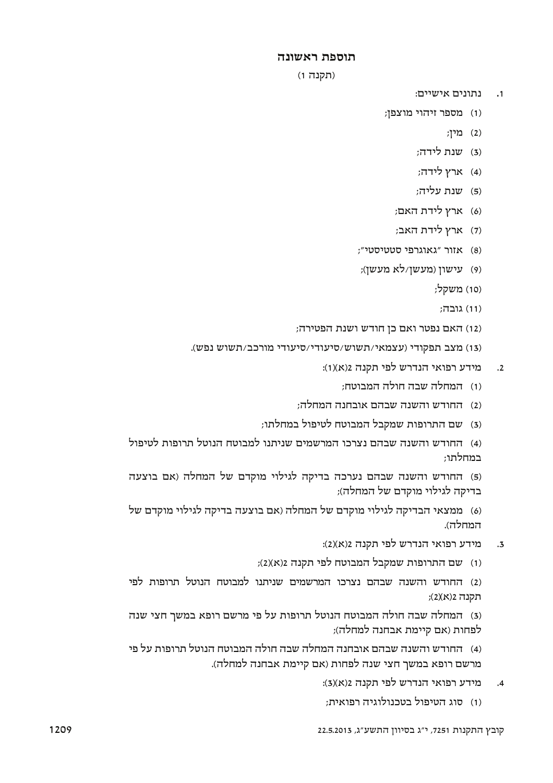## תוספת ראשונה

#### (תקנה 1)

- נתונים אישיים:  $\cdot$ 1
- (1) מספר זיהוי מוצפן;
	- מין;  $(2)$
	- (3) שנת לידה;
	- (4) ארץ לידה;
	- (5) שנת עליה:
	- (6) ארץ לידת האם;
	- (7) ארץ לידת האב;
- "אזור "גאוגרפי סטטיסטי";
- (9) עישון (מעשן/לא מעשן);
	- (10) משקל;
		- (11) גובה:
- (12) האם נפטר ואם כן חודש ושנת הפטירה;
- (13) מצב תפקודי (עצמאי/תשוש/סיעודי/סיעודי מורכב/תשוש נפש).
	- מידע רפואי הנדרש לפי תקנה 2(א)(1):  $\cdot$ .2
		- (1) המחלה שבה חולה המבוטח:
	- (2) החודש והשנה שבהם אובחנה המחלה:
	- (3) שם התרופות שמקבל המבוטח לטיפול במחלתו;

(4) החודש והשנה שבהם נצרכו המרשמים שניתנו למבוטח הנוטל תרופות לטיפול רמחלחו:

(5) החודש והשנה שבהם נערכה בדיקה לגילוי מוקדם של המחלה (אם בוצעה בדיקה לגילוי מוקדם של המחלה);

(6) ממצאי הבדיקה לגילוי מוקדם של המחלה (אם בוצעה בדיקה לגילוי מוקדם של המחלה).

- מידע רפואי הנדרש לפי תקנה 2(א)(2):  $\overline{.}3$
- (1) שם התרופות שמקבל המבוטח לפי תקנה 2(x)(2);

(2) החודש והשנה שבהם נצרכו המרשמים שניתנו למבוטח הנוטל תרופות לפי תקנה 2(א)(2);

(3) המחלה שבה חולה המבוטח הנוטל תרופות על פי מרשם רופא במשך חצי שנה לפחות (אם קיימת אבחנה למחלה);

(4) החודש והשנה שבהם אובחנה המחלה שבה חולה המבוטח הנוטל תרופות על פי מרשם רופא במשך חצי שנה לפחות (אם קיימת אבחנה למחלה).

- מידע רפואי הנדרש לפי תקנה 3(x)(3):  $.4$
- (1) סוג הטיפול בטכנולוגיה רפואית: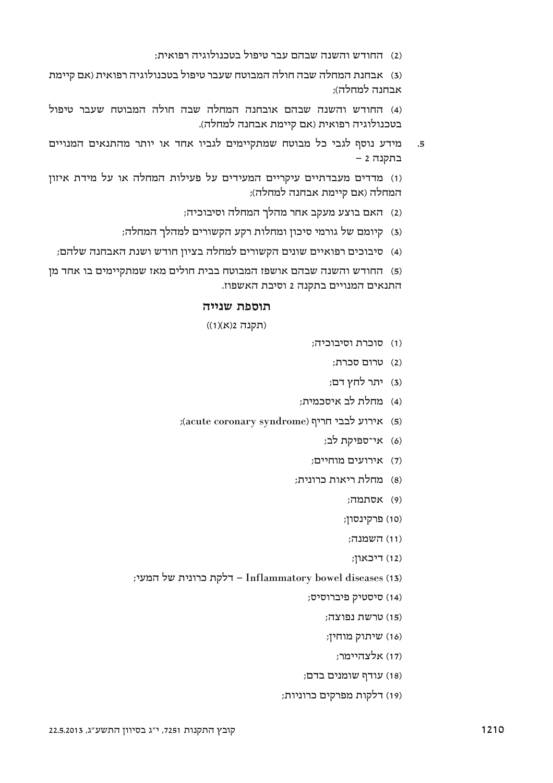(2) החודש והשנה שבהם עבר טיפול בטכנולוגיה רפואית:

(3) אבחנת המחלה שבה חולה המבוטח שעבר טיפול בטכנולוגיה רפואית (אם קיימת  $\kappa$ אבחנה למחלה

(4) החודש והשנה שבהם אובחנה המחלה שבה חולה המבוטח שעבר טיפול בטכנולוגיה רפואית (אם קיימת אבחנה למחלה).

5. מידע נוסף לגבי כל מבוטח שמתקיימים לגביו אחד או יותר מהתנאים המנויים בתקנה 2 -

(1) מדדים מעבדתיים עיקריים המעידים על פעילות המחלה או על מידת איזון המחלה (אם קיימת אבחנה למחלה);

- (2) האם בוצע מעקב אחר מהלך המחלה וסיבוכיה;
- (3) קיומם של גורמי סיכון ומחלות רקע הקשורים למהלך המחלה;
- (4) סיבוכים רפואיים שונים הקשורים למחלה בציון חודש ושנת האבחנה שלהם;

(5) החודש והשנה שבהם אושפז המבוטח בבית חולים מאז שמתקיימים בו אחד מז התנאים המנויים בתקנה 2 וסיבת האשפוז.

## תוספת שנייה

(תקנה 1(א)(1))

- (1) סוכרת וסיבוכיה:
	- (2) טרום סכרת:
	- (3) יתר לחץ דם;
- (4) מחלת לב איסכמית;
- KERSTURIO האירוע לבבי חריף (acute coronary syndrome)
	- (6) אי־ספיקת לב;
	- (7) אירועים מוחיים;
	- (8) מחלת ריאות כרונית:
		- $H(9)$ אסתמה:
		- (10) פרקינסון;
		- השמנה:  $(11)$
		- $f(X)$ , דיכאון
- ; דלקת כרונית של המעי<br/>, Inflammatory bowel diseases  $\left(13\right)$ 
	- (14) סיסטיק פיברוסיס;
		- (15) טרשת נפוצה;
		- שיתוק מוחיז:  $U(16)$ 
			- (17) אלצהיימר;
	- עודף שומנים בדם;<br>
	- (19) דלקות מפרקים כרוניות;